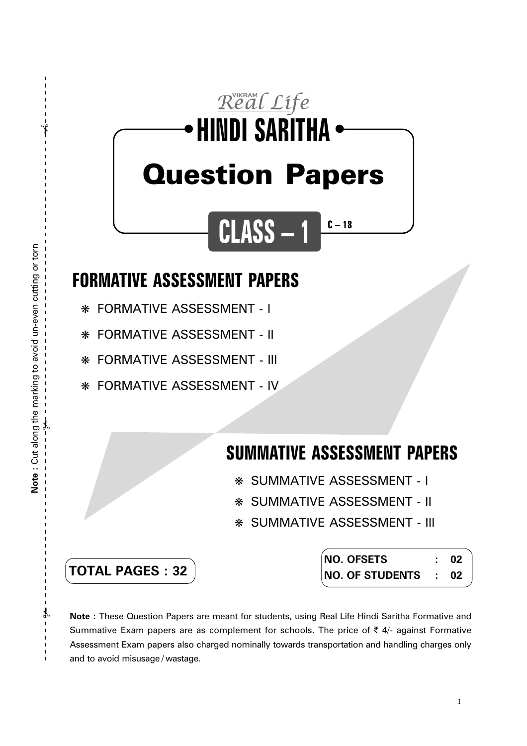# Real Life **HINDI SARITHA** ● ● Question Papers **CLASS – 1**

## **FORMATIVE ASSESSMENT PAPERS**

❋ FORMATIVE ASSESSMENT - I

❋ FORMATIVE ASSESSMENT - II

❋ FORMATIVE ASSESSMENT - III

❋ FORMATIVE ASSESSMENT - IV

# **SUMMATIVE ASSESSMENT PAPERS**

**C – 18**

- ❋ SUMMATIVE ASSESSMENT I
- ❋ SUMMATIVE ASSESSMENT II
- ❋ SUMMATIVE ASSESSMENT III

| <b>TOTAL PAGES : 32</b> |  |  |  |  |
|-------------------------|--|--|--|--|
|-------------------------|--|--|--|--|

| <b>NO. OFSETS</b>                               | 02 |
|-------------------------------------------------|----|
| $\overline{N}$ NO. OF STUDENTS $\overline{N}$ : | 02 |

**Note :** These Question Papers are meant for students, using Real Life Hindi Saritha Formative and Summative Exam papers are as complement for schools. The price of  $\bar{\tau}$  4/- against Formative Assessment Exam papers also charged nominally towards transportation and handling charges only and to avoid misusage / wastage.

 $\mathcal Y$ 

✃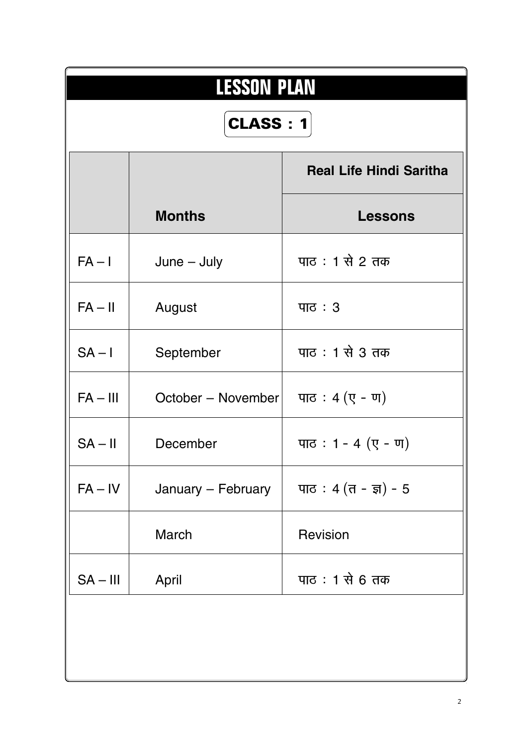| <b>LESSON PLAN</b> |                    |                                     |  |
|--------------------|--------------------|-------------------------------------|--|
| <b>CLASS: 1</b>    |                    |                                     |  |
|                    |                    | <b>Real Life Hindi Saritha</b>      |  |
|                    | <b>Months</b>      | <b>Lessons</b>                      |  |
| $FA - I$           | $June - July$      | पाठ: 1 से 2 तक                      |  |
| $FA - II$          | August             | $\Pi$                               |  |
| $SA - I$           | September          | पाठ : 1 से 3 तक                     |  |
| $FA - III$         | October – November | पाठ: $4($ ए - ण)                    |  |
| $SA - II$          | December           | पाठ: 1 - 4 $($ ए - ण)               |  |
| $FA - IV$          | January - February | पाठ: 4 $(\pi - \overline{\pi}) - 5$ |  |
|                    | March              | Revision                            |  |
| $SA - III$         | April              | पाठ : 1 से 6 तक                     |  |
|                    |                    |                                     |  |
|                    |                    |                                     |  |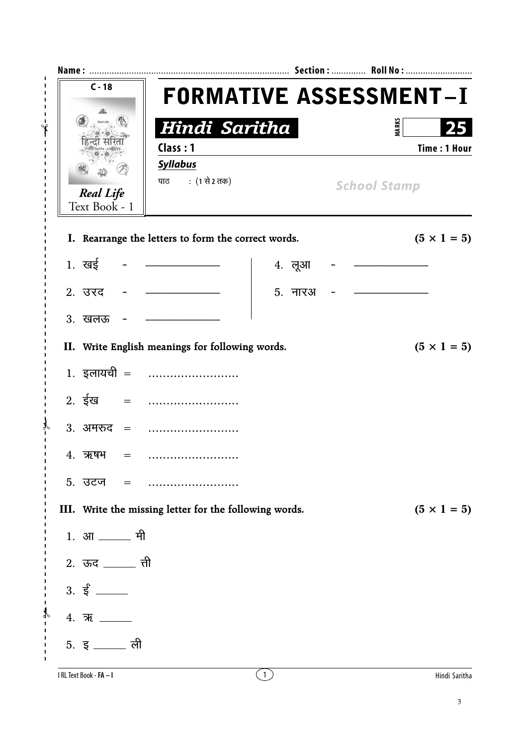| $C - 18$                                                                                                                                                                                                                                                                                                                                             | <b>FORMATIVE ASSESSMENT-I</b>                                     |                  |                                     |                     |
|------------------------------------------------------------------------------------------------------------------------------------------------------------------------------------------------------------------------------------------------------------------------------------------------------------------------------------------------------|-------------------------------------------------------------------|------------------|-------------------------------------|---------------------|
| Real Life<br><b>Real Life</b><br>Text Book - 1                                                                                                                                                                                                                                                                                                       | Hindi Saritha<br>Class: 1<br><b>Syllabus</b><br>पाठ : (1 से 2 तक) |                  | <b>MARKS</b><br><b>School Stamp</b> | <b>Time: 1 Hour</b> |
|                                                                                                                                                                                                                                                                                                                                                      | I. Rearrange the letters to form the correct words.               |                  |                                     | $(5 \times 1 = 5)$  |
| 1. $\overline{u}$ = $\overline{u}$ = $\overline{u}$ = $\overline{u}$ = $\overline{u}$ = $\overline{u}$ = $\overline{u}$ = $\overline{u}$ = $\overline{u}$ = $\overline{u}$ = $\overline{u}$ = $\overline{u}$ = $\overline{u}$ = $\overline{u}$ = $\overline{u}$ = $\overline{u}$ = $\overline{u}$ = $\overline{u}$ = $\overline{u}$ = $\overline{u}$ |                                                                   | 4. लूआ           |                                     |                     |
| 2. उरद                                                                                                                                                                                                                                                                                                                                               |                                                                   | 5. नारअ          |                                     |                     |
| 3. खलऊ                                                                                                                                                                                                                                                                                                                                               |                                                                   |                  |                                     |                     |
|                                                                                                                                                                                                                                                                                                                                                      | II. Write English meanings for following words.                   |                  |                                     | $(5 \times 1 = 5)$  |
|                                                                                                                                                                                                                                                                                                                                                      | 1. इलायची =                                                       |                  |                                     |                     |
|                                                                                                                                                                                                                                                                                                                                                      |                                                                   |                  |                                     |                     |
|                                                                                                                                                                                                                                                                                                                                                      | 3. अमरुद =                                                        |                  |                                     |                     |
| 4. ऋषभ<br>$=$                                                                                                                                                                                                                                                                                                                                        |                                                                   |                  |                                     |                     |
| 5. उटज<br>$=$                                                                                                                                                                                                                                                                                                                                        |                                                                   |                  |                                     |                     |
|                                                                                                                                                                                                                                                                                                                                                      | III. Write the missing letter for the following words.            |                  |                                     | $(5 \times 1 = 5)$  |
| 1. आ ______ मी                                                                                                                                                                                                                                                                                                                                       |                                                                   |                  |                                     |                     |
| 2. ऊद <u>______</u> ती                                                                                                                                                                                                                                                                                                                               |                                                                   |                  |                                     |                     |
|                                                                                                                                                                                                                                                                                                                                                      |                                                                   |                  |                                     |                     |
| 4.77                                                                                                                                                                                                                                                                                                                                                 |                                                                   |                  |                                     |                     |
| 5. इ $\frac{1}{2}$ ली                                                                                                                                                                                                                                                                                                                                |                                                                   |                  |                                     |                     |
| I RL Text Book - FA - I                                                                                                                                                                                                                                                                                                                              |                                                                   | $\left(1\right)$ |                                     | Hindi Saritha       |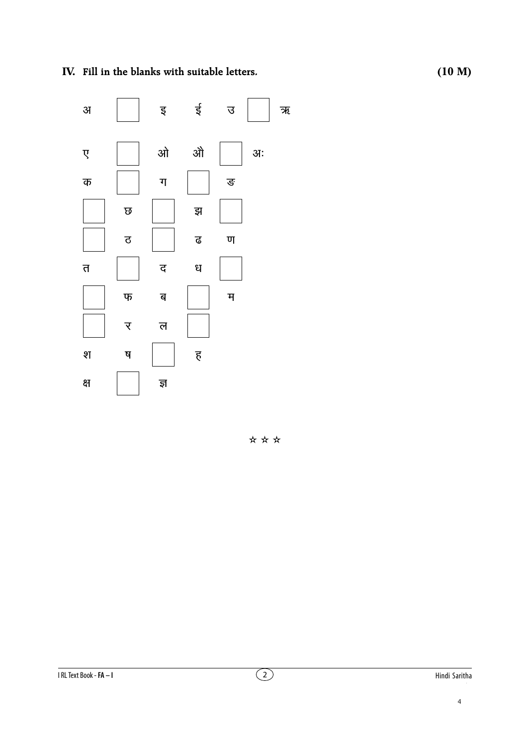IV. Fill in the blanks with suitable letters.

ई इ 31  $\overline{B}$ औ ओ अः  $\overline{\mathbf{y}}$  $\overline{\mathbf{u}}$ ङ क  $\overline{\omega}$ झ ढ  $\overline{\mathtt{c}}$  $\overline{u}$  $\overline{D}$ द ध म $\overline{a}$  $\Psi$ ब र ल श ष  $\overline{\xi}$ क्ष ज्ञ

\*\*\*

ক্ত $\overline{\mathcal{R}}$ 

 $\overline{4}$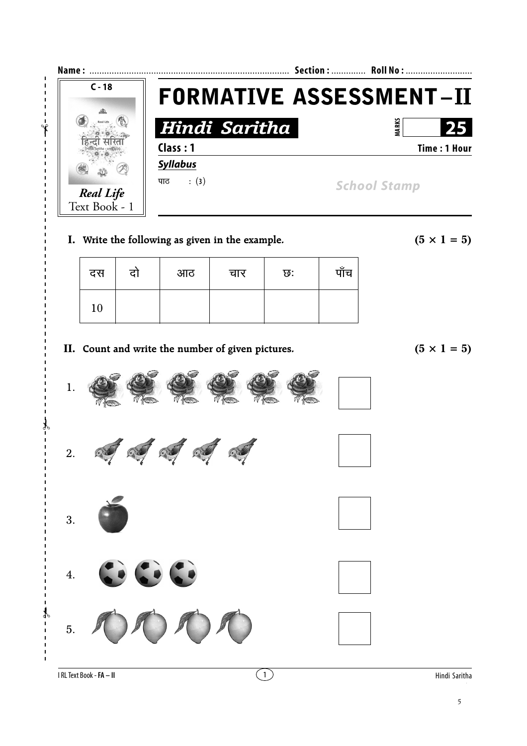

**I.** Write the following as given in the example.  $(5 \times 1 = 5)$ 

| दस | दो | आठ | चार | ত: | पाँच |
|----|----|----|-----|----|------|
| 10 |    |    |     |    |      |

**II.** Count and write the number of given pictures.  $(5 \times 1 = 5)$ 

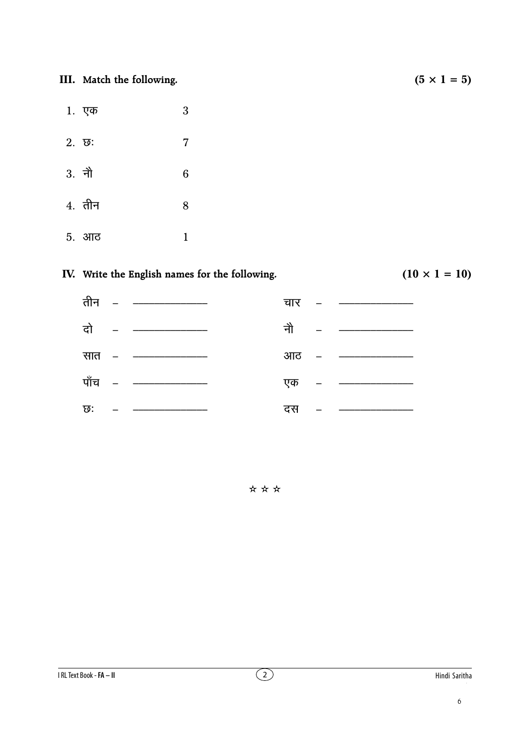**III.** Match the following.  $(5 \times 1 = 5)$ 

- 1.   $\sqrt{3}$
- $2. \t{5}: 7$
- $3.$ नौ  $\sim$  6
- $4.$  तीन  $8$
- .<br>5. आठ ठ <u>।</u>

#### **IV.** Write the English names for the following.  $(10 \times 1 = 10)$



✫ ✫ ✫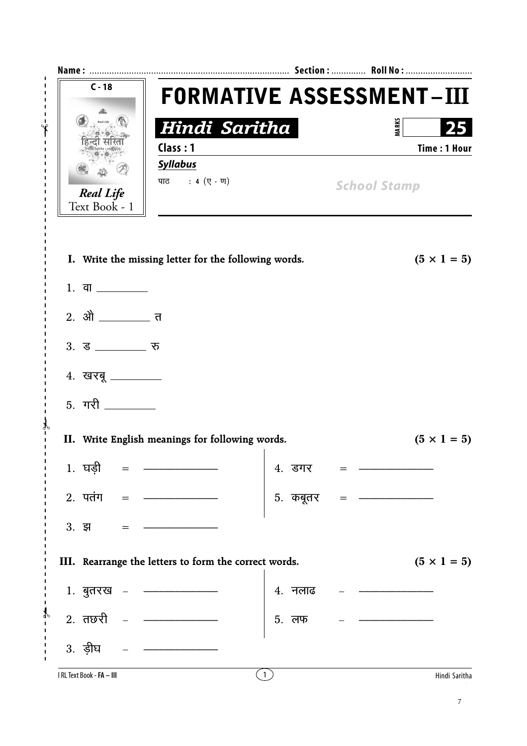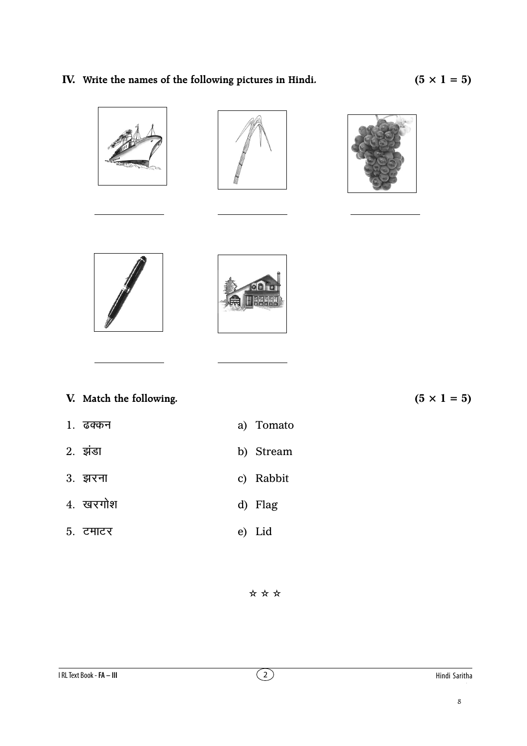### IV. Write the names of the following pictures in Hindi.











|  |  |  | V. Match the following. |  |
|--|--|--|-------------------------|--|
|--|--|--|-------------------------|--|

- 1. ढक्कन
- 2. इंडा b) Stream
- 3. झरना c) Rabbit
- 4. खरगोश d) Flag
- $5.$  टमाटर e) Lid

 $(5 \times 1 = 5)$ 

\*\*\*

a) Tomato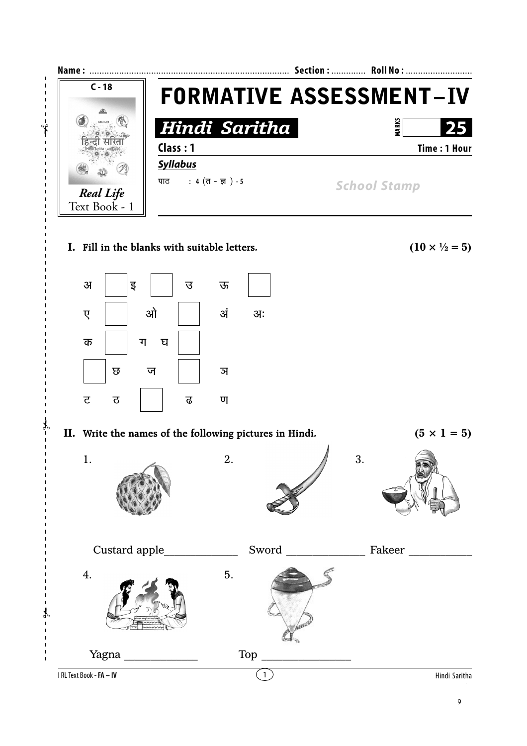